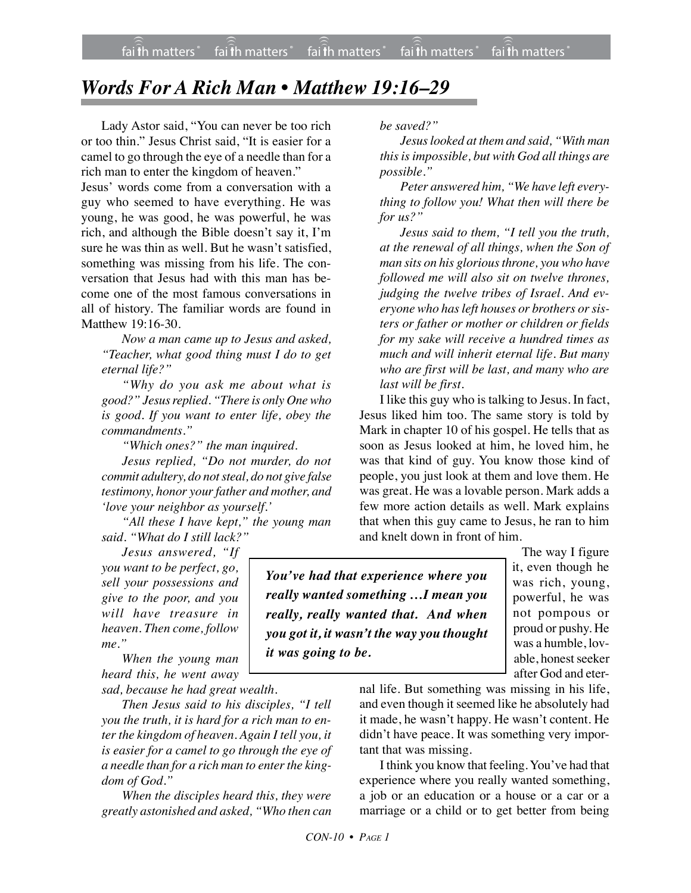## *Words For A Rich Man • Matthew 19:16–29*

Lady Astor said, "You can never be too rich or too thin." Jesus Christ said, "It is easier for a camel to go through the eye of a needle than for a rich man to enter the kingdom of heaven."

Jesus' words come from a conversation with a guy who seemed to have everything. He was young, he was good, he was powerful, he was rich, and although the Bible doesn't say it, I'm sure he was thin as well. But he wasn't satisfied, something was missing from his life. The conversation that Jesus had with this man has become one of the most famous conversations in all of history. The familiar words are found in Matthew 19:16-30.

*Now a man came up to Jesus and asked, "Teacher, what good thing must I do to get eternal life?"*

*"Why do you ask me about what is good?" Jesus replied. "There is only One who is good. If you want to enter life, obey the commandments."*

*"Which ones?" the man inquired.*

*Jesus replied, "Do not murder, do not commit adultery, do not steal, do not give false testimony, honor your father and mother, and 'love your neighbor as yourself.'*

*"All these I have kept," the young man said. "What do I still lack?"*

*Jesus answered, "If you want to be perfect, go, sell your possessions and give to the poor, and you will have treasure in heaven. Then come, follow me."*

*When the young man heard this, he went away*

*sad, because he had great wealth.*

*Then Jesus said to his disciples, "I tell you the truth, it is hard for a rich man to enter the kingdom of heaven. Again I tell you, it is easier for a camel to go through the eye of a needle than for a rich man to enter the kingdom of God."*

*When the disciples heard this, they were greatly astonished and asked, "Who then can* *be saved?"*

*Jesus looked at them and said, "With man this is impossible, but with God all things are possible."*

*Peter answered him, "We have left everything to follow you! What then will there be for us?"*

*Jesus said to them, "I tell you the truth, at the renewal of all things, when the Son of man sits on his glorious throne, you who have followed me will also sit on twelve thrones, judging the twelve tribes of Israel. And everyone who has left houses or brothers or sisters or father or mother or children or fields for my sake will receive a hundred times as much and will inherit eternal life. But many who are first will be last, and many who are last will be first.*

I like this guy who is talking to Jesus. In fact, Jesus liked him too. The same story is told by Mark in chapter 10 of his gospel. He tells that as soon as Jesus looked at him, he loved him, he was that kind of guy. You know those kind of people, you just look at them and love them. He was great. He was a lovable person. Mark adds a few more action details as well. Mark explains that when this guy came to Jesus, he ran to him and knelt down in front of him.

> The way I figure it, even though he was rich, young, powerful, he was not pompous or proud or pushy. He was a humble, lovable, honest seeker after God and eter-

nal life. But something was missing in his life, and even though it seemed like he absolutely had it made, he wasn't happy. He wasn't content. He didn't have peace. It was something very important that was missing.

I think you know that feeling. You've had that experience where you really wanted something, a job or an education or a house or a car or a marriage or a child or to get better from being

*it was going to be.*

*You've had that experience where you really wanted something …I mean you really, really wanted that. And when you got it, it wasn't the way you thought*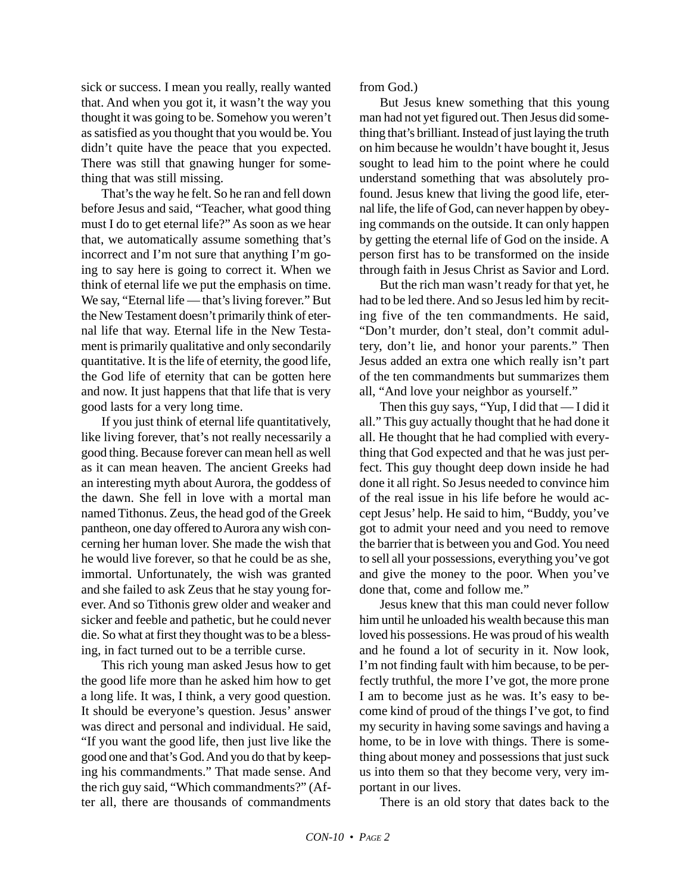sick or success. I mean you really, really wanted that. And when you got it, it wasn't the way you thought it was going to be. Somehow you weren't as satisfied as you thought that you would be. You didn't quite have the peace that you expected. There was still that gnawing hunger for something that was still missing.

That's the way he felt. So he ran and fell down before Jesus and said, "Teacher, what good thing must I do to get eternal life?" As soon as we hear that, we automatically assume something that's incorrect and I'm not sure that anything I'm going to say here is going to correct it. When we think of eternal life we put the emphasis on time. We say, "Eternal life — that's living forever." But the New Testament doesn't primarily think of eternal life that way. Eternal life in the New Testament is primarily qualitative and only secondarily quantitative. It is the life of eternity, the good life, the God life of eternity that can be gotten here and now. It just happens that that life that is very good lasts for a very long time.

If you just think of eternal life quantitatively, like living forever, that's not really necessarily a good thing. Because forever can mean hell as well as it can mean heaven. The ancient Greeks had an interesting myth about Aurora, the goddess of the dawn. She fell in love with a mortal man named Tithonus. Zeus, the head god of the Greek pantheon, one day offered to Aurora any wish concerning her human lover. She made the wish that he would live forever, so that he could be as she, immortal. Unfortunately, the wish was granted and she failed to ask Zeus that he stay young forever. And so Tithonis grew older and weaker and sicker and feeble and pathetic, but he could never die. So what at first they thought was to be a blessing, in fact turned out to be a terrible curse.

This rich young man asked Jesus how to get the good life more than he asked him how to get a long life. It was, I think, a very good question. It should be everyone's question. Jesus' answer was direct and personal and individual. He said, "If you want the good life, then just live like the good one and that's God. And you do that by keeping his commandments." That made sense. And the rich guy said, "Which commandments?" (After all, there are thousands of commandments from God.)

But Jesus knew something that this young man had not yet figured out. Then Jesus did something that's brilliant. Instead of just laying the truth on him because he wouldn't have bought it, Jesus sought to lead him to the point where he could understand something that was absolutely profound. Jesus knew that living the good life, eternal life, the life of God, can never happen by obeying commands on the outside. It can only happen by getting the eternal life of God on the inside. A person first has to be transformed on the inside through faith in Jesus Christ as Savior and Lord.

But the rich man wasn't ready for that yet, he had to be led there. And so Jesus led him by reciting five of the ten commandments. He said, "Don't murder, don't steal, don't commit adultery, don't lie, and honor your parents." Then Jesus added an extra one which really isn't part of the ten commandments but summarizes them all, "And love your neighbor as yourself."

Then this guy says, "Yup, I did that  $-$  I did it all." This guy actually thought that he had done it all. He thought that he had complied with everything that God expected and that he was just perfect. This guy thought deep down inside he had done it all right. So Jesus needed to convince him of the real issue in his life before he would accept Jesus' help. He said to him, "Buddy, you've got to admit your need and you need to remove the barrier that is between you and God. You need to sell all your possessions, everything you've got and give the money to the poor. When you've done that, come and follow me."

Jesus knew that this man could never follow him until he unloaded his wealth because this man loved his possessions. He was proud of his wealth and he found a lot of security in it. Now look, I'm not finding fault with him because, to be perfectly truthful, the more I've got, the more prone I am to become just as he was. It's easy to become kind of proud of the things I've got, to find my security in having some savings and having a home, to be in love with things. There is something about money and possessions that just suck us into them so that they become very, very important in our lives.

There is an old story that dates back to the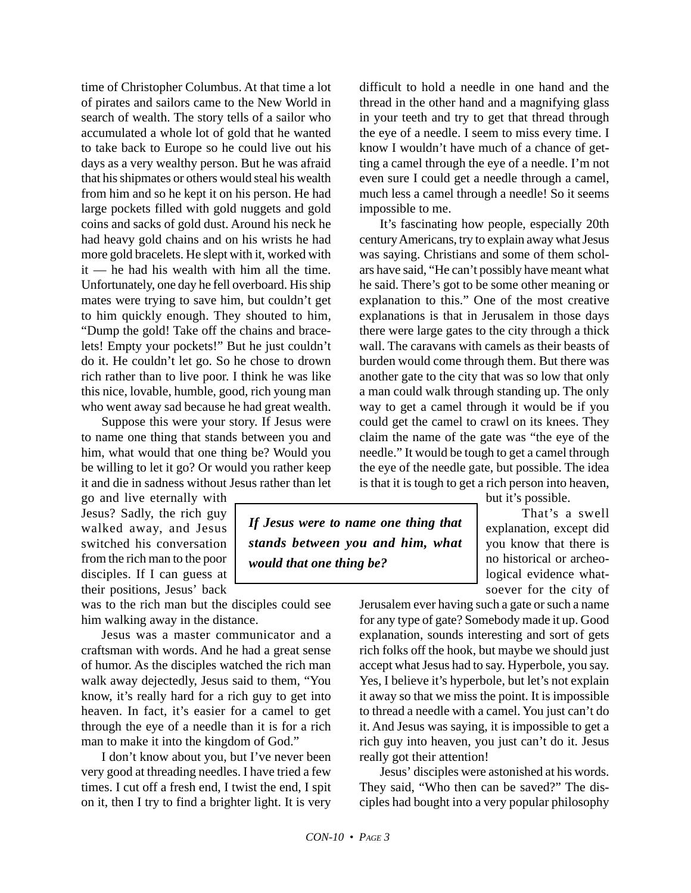time of Christopher Columbus. At that time a lot of pirates and sailors came to the New World in search of wealth. The story tells of a sailor who accumulated a whole lot of gold that he wanted to take back to Europe so he could live out his days as a very wealthy person. But he was afraid that his shipmates or others would steal his wealth from him and so he kept it on his person. He had large pockets filled with gold nuggets and gold coins and sacks of gold dust. Around his neck he had heavy gold chains and on his wrists he had more gold bracelets. He slept with it, worked with it — he had his wealth with him all the time. Unfortunately, one day he fell overboard. His ship mates were trying to save him, but couldn't get to him quickly enough. They shouted to him, "Dump the gold! Take off the chains and bracelets! Empty your pockets!" But he just couldn't do it. He couldn't let go. So he chose to drown rich rather than to live poor. I think he was like this nice, lovable, humble, good, rich young man who went away sad because he had great wealth.

Suppose this were your story. If Jesus were to name one thing that stands between you and him, what would that one thing be? Would you be willing to let it go? Or would you rather keep it and die in sadness without Jesus rather than let

go and live eternally with Jesus? Sadly, the rich guy walked away, and Jesus switched his conversation from the rich man to the poor disciples. If I can guess at their positions, Jesus' back

was to the rich man but the disciples could see him walking away in the distance.

Jesus was a master communicator and a craftsman with words. And he had a great sense of humor. As the disciples watched the rich man walk away dejectedly, Jesus said to them, "You know, it's really hard for a rich guy to get into heaven. In fact, it's easier for a camel to get through the eye of a needle than it is for a rich man to make it into the kingdom of God."

I don't know about you, but I've never been very good at threading needles. I have tried a few times. I cut off a fresh end, I twist the end, I spit on it, then I try to find a brighter light. It is very difficult to hold a needle in one hand and the thread in the other hand and a magnifying glass in your teeth and try to get that thread through the eye of a needle. I seem to miss every time. I know I wouldn't have much of a chance of getting a camel through the eye of a needle. I'm not even sure I could get a needle through a camel, much less a camel through a needle! So it seems impossible to me.

It's fascinating how people, especially 20th century Americans, try to explain away what Jesus was saying. Christians and some of them scholars have said, "He can't possibly have meant what he said. There's got to be some other meaning or explanation to this." One of the most creative explanations is that in Jerusalem in those days there were large gates to the city through a thick wall. The caravans with camels as their beasts of burden would come through them. But there was another gate to the city that was so low that only a man could walk through standing up. The only way to get a camel through it would be if you could get the camel to crawl on its knees. They claim the name of the gate was "the eye of the needle." It would be tough to get a camel through the eye of the needle gate, but possible. The idea is that it is tough to get a rich person into heaven,

but it's possible.

*If Jesus were to name one thing that stands between you and him, what would that one thing be?*

That's a swell explanation, except did you know that there is no historical or archeological evidence whatsoever for the city of

Jerusalem ever having such a gate or such a name for any type of gate? Somebody made it up. Good explanation, sounds interesting and sort of gets rich folks off the hook, but maybe we should just accept what Jesus had to say. Hyperbole, you say. Yes, I believe it's hyperbole, but let's not explain it away so that we miss the point. It is impossible to thread a needle with a camel. You just can't do it. And Jesus was saying, it is impossible to get a rich guy into heaven, you just can't do it. Jesus really got their attention!

Jesus' disciples were astonished at his words. They said, "Who then can be saved?" The disciples had bought into a very popular philosophy